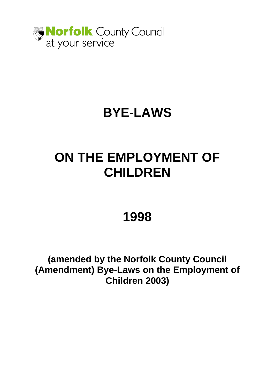

# **BYE-LAWS**

# **ON THE EMPLOYMENT OF CHILDREN**

# **1998**

**(amended by the Norfolk County Council (Amendment) Bye-Laws on the Employment of Children 2003)**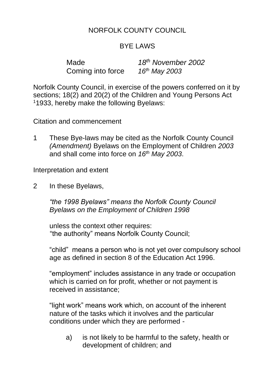# NORFOLK COUNTY COUNCIL

#### BYE LAWS

Made *18th November 2002* Coming into force *16th May 2003*

Norfolk County Council, in exercise of the powers conferred on it by sections; 18(2) and 20(2) of the Children and Young Persons Act <sup>1</sup>1933, hereby make the following Byelaws:

Citation and commencement

1 These Bye-laws may be cited as the Norfolk County Council *(Amendment)* Byelaws on the Employment of Children *2003*  and shall come into force on *16th May 2003*.

Interpretation and extent

2 In these Byelaws,

*"the 1998 Byelaws" means the Norfolk County Council Byelaws on the Employment of Children 1998*

unless the context other requires: "the authority" means Norfolk County Council;

"child" means a person who is not yet over compulsory school age as defined in section 8 of the Education Act 1996.

"employment" includes assistance in any trade or occupation which is carried on for profit, whether or not payment is received in assistance;

"light work" means work which, on account of the inherent nature of the tasks which it involves and the particular conditions under which they are performed -

a) is not likely to be harmful to the safety, health or development of children; and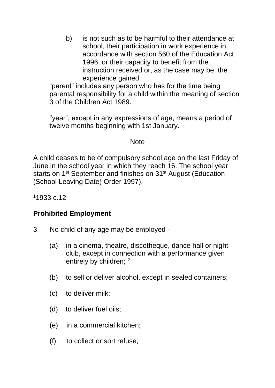b) is not such as to be harmful to their attendance at school, their participation in work experience in accordance with section 560 of the Education Act 1996, or their capacity to benefit from the instruction received or, as the case may be, the experience gained.

"parent" includes any person who has for the time being parental responsibility for a child within the meaning of section 3 of the Children Act 1989.

"year", except in any expressions of age, means a period of twelve months beginning with 1st January.

#### **Note**

A child ceases to be of compulsory school age on the last Friday of June in the school year in which they reach 16. The school year starts on 1<sup>st</sup> September and finishes on 31<sup>st</sup> August (Education (School Leaving Date) Order 1997).

<sup>1</sup>1933 c.12

#### **Prohibited Employment**

- 3 No child of any age may be employed
	- (a) in a cinema, theatre, discotheque, dance hall or night club, except in connection with a performance given entirely by children; <sup>2</sup>
	- (b) to sell or deliver alcohol, except in sealed containers;
	- (c) to deliver milk;
	- (d) to deliver fuel oils;
	- (e) in a commercial kitchen;
	- (f) to collect or sort refuse;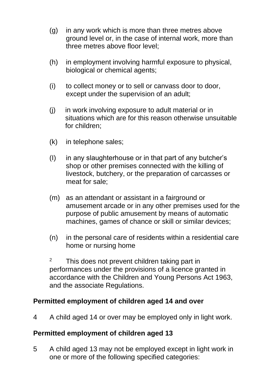- (g) in any work which is more than three metres above ground level or, in the case of internal work, more than three metres above floor level;
- (h) in employment involving harmful exposure to physical, biological or chemical agents;
- (i) to collect money or to sell or canvass door to door, except under the supervision of an adult;
- (j) in work involving exposure to adult material or in situations which are for this reason otherwise unsuitable for children;
- (k) in telephone sales;
- (I) in any slaughterhouse or in that part of any butcher's shop or other premises connected with the killing of livestock, butchery, or the preparation of carcasses or meat for sale;
- (m) as an attendant or assistant in a fairground or amusement arcade or in any other premises used for the purpose of public amusement by means of automatic machines, games of chance or skill or similar devices;
- (n) in the personal care of residents within a residential care home or nursing home
- $2^2$  This does not prevent children taking part in performances under the provisions of a licence granted in accordance with the Children and Young Persons Act 1963, and the associate Regulations.

#### **Permitted employment of children aged 14 and over**

4 A child aged 14 or over may be employed only in light work.

#### **Permitted employment of children aged 13**

5 A child aged 13 may not be employed except in light work in one or more of the following specified categories: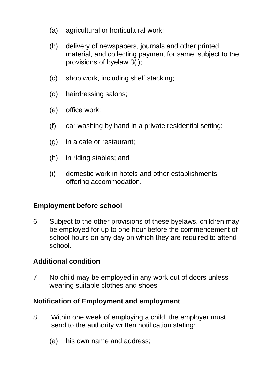- (a) agricultural or horticultural work;
- (b) delivery of newspapers, journals and other printed material, and collecting payment for same, subject to the provisions of byelaw 3(i);
- (c) shop work, including shelf stacking;
- (d) hairdressing salons;
- (e) office work;
- (f) car washing by hand in a private residential setting;
- (g) in a cafe or restaurant;
- (h) in riding stables; and
- (i) domestic work in hotels and other establishments offering accommodation.

## **Employment before school**

6 Subject to the other provisions of these byelaws, children may be employed for up to one hour before the commencement of school hours on any day on which they are required to attend school.

## **Additional condition**

7 No child may be employed in any work out of doors unless wearing suitable clothes and shoes.

## **Notification of Employment and employment**

- 8 Within one week of employing a child, the employer must send to the authority written notification stating:
	- (a) his own name and address;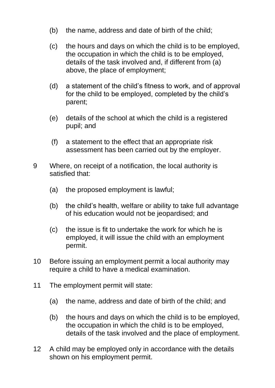- (b) the name, address and date of birth of the child;
- (c) the hours and days on which the child is to be employed, the occupation in which the child is to be employed, details of the task involved and, if different from (a) above, the place of employment;
- (d) a statement of the child's fitness to work, and of approval for the child to be employed, completed by the child's parent;
- (e) details of the school at which the child is a registered pupil; and
- (f) a statement to the effect that an appropriate risk assessment has been carried out by the employer.
- 9 Where, on receipt of a notification, the local authority is satisfied that:
	- (a) the proposed employment is lawful;
	- (b) the child's health, welfare or ability to take full advantage of his education would not be jeopardised; and
	- (c) the issue is fit to undertake the work for which he is employed, it will issue the child with an employment permit.
- 10 Before issuing an employment permit a local authority may require a child to have a medical examination.
- 11 The employment permit will state:
	- (a) the name, address and date of birth of the child; and
	- (b) the hours and days on which the child is to be employed, the occupation in which the child is to be employed, details of the task involved and the place of employment.
- 12 A child may be employed only in accordance with the details shown on his employment permit.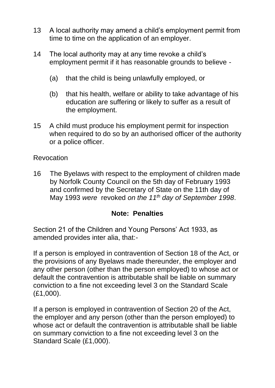- 13 A local authority may amend a child's employment permit from time to time on the application of an employer.
- 14 The local authority may at any time revoke a child's employment permit if it has reasonable grounds to believe -
	- (a) that the child is being unlawfully employed, or
	- (b) that his health, welfare or ability to take advantage of his education are suffering or likely to suffer as a result of the employment.
- 15 A child must produce his employment permit for inspection when required to do so by an authorised officer of the authority or a police officer.

#### Revocation

16 The Byelaws with respect to the employment of children made by Norfolk County Council on the 5th day of February 1993 and confirmed by the Secretary of State on the 11th day of May 1993 *were* revoked *on the 11th day of September 1998*.

#### **Note: Penalties**

Section 21 of the Children and Young Persons' Act 1933, as amended provides inter alia, that:-

If a person is employed in contravention of Section 18 of the Act, or the provisions of any Byelaws made thereunder, the employer and any other person (other than the person employed) to whose act or default the contravention is attributable shall be liable on summary conviction to a fine not exceeding level 3 on the Standard Scale (£1,000).

If a person is employed in contravention of Section 20 of the Act, the employer and any person (other than the person employed) to whose act or default the contravention is attributable shall be liable on summary conviction to a fine not exceeding level 3 on the Standard Scale (£1,000).